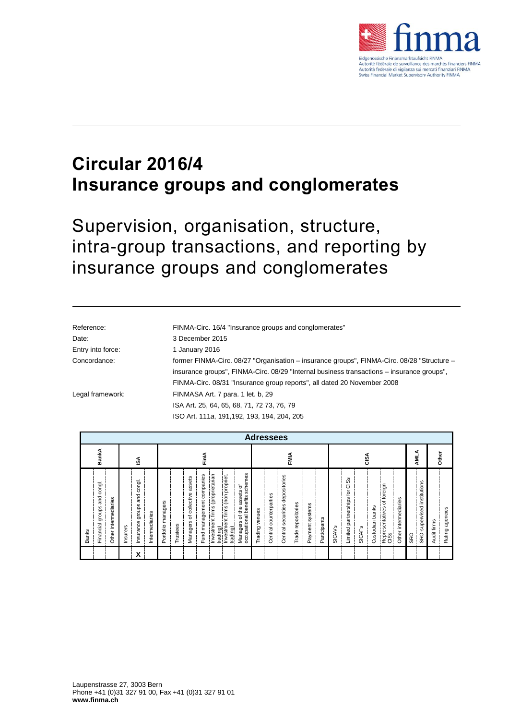

# **Circular 2016/4 Insurance groups and conglomerates**

Supervision, organisation, structure, intra-group transactions, and reporting by insurance groups and conglomerates

| Reference:        | FINMA-Circ. 16/4 "Insurance groups and conglomerates"                                      |
|-------------------|--------------------------------------------------------------------------------------------|
| Date:             | 3 December 2015                                                                            |
| Entry into force: | 1 January 2016                                                                             |
| Concordance:      | former FINMA-Circ. 08/27 "Organisation – insurance groups", FINMA-Circ. 08/28 "Structure – |
|                   | insurance groups", FINMA-Circ. 08/29 "Internal business transactions – insurance groups",  |
|                   | FINMA-Circ. 08/31 "Insurance group reports", all dated 20 November 2008                    |
| Legal framework:  | FINMASA Art. 7 para. 1 let. b, 29                                                          |
|                   | ISA Art. 25, 64, 65, 68, 71, 72 73, 76, 79                                                 |
|                   | ISO Art. 111a, 191, 192, 193, 194, 204, 205                                                |
|                   |                                                                                            |

| <b>Adressees</b>                                     |                         |          |                                           |                |                    |          |                                     |                              |                                             |                                                |                                                                  |                   |                        |                                       |                    |                 |              |               |                                  |               |                    |                                       |                         |            |                             |             |                    |
|------------------------------------------------------|-------------------------|----------|-------------------------------------------|----------------|--------------------|----------|-------------------------------------|------------------------------|---------------------------------------------|------------------------------------------------|------------------------------------------------------------------|-------------------|------------------------|---------------------------------------|--------------------|-----------------|--------------|---------------|----------------------------------|---------------|--------------------|---------------------------------------|-------------------------|------------|-----------------------------|-------------|--------------------|
| BankA                                                | FinlA<br>ઙ∡             |          |                                           |                |                    |          | FMIA                                |                              |                                             |                                                |                                                                  | GSA               |                        |                                       |                    |                 |              | ⋖<br>₹        |                                  | Other         |                    |                                       |                         |            |                             |             |                    |
| congl.<br>and<br>groups<br>Financial<br><b>Banks</b> | intermediaries<br>Other | Insurers | congl.<br>and<br>groups<br>Insurance<br>X | Intermediaries | Portfolio managers | Trustees | assets<br>of collective<br>Managers | companies<br>Fund management | Investment firms (proprietarian<br>trading) | (non propriet.<br>Investment firms<br>trading) | schemes<br>assets of<br>occupational benefits<br>Managers of the | venues<br>Trading | Central counterparties | depositories<br>securities<br>Central | Trade repositories | Payment systems | Participants | <b>SICAVS</b> | CISS<br>Limited partnerships for | <b>SICAFS</b> | banks<br>Custodian | of foreign<br>Representatives<br>CISS | intermediaries<br>Other | <b>SRO</b> | SRO-supervised institutions | Audit firms | agencies<br>Rating |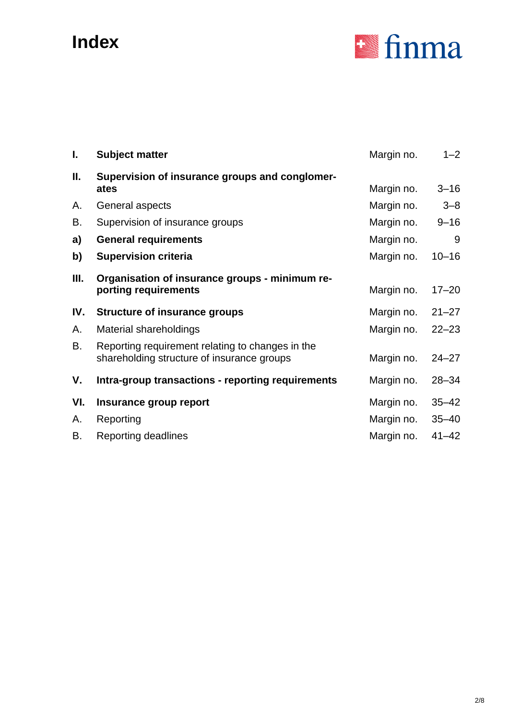# **Index**



| I.  | <b>Subject matter</b>                                                                          | Margin no. | $1 - 2$   |
|-----|------------------------------------------------------------------------------------------------|------------|-----------|
| П.  | Supervision of insurance groups and conglomer-<br>ates                                         | Margin no. | $3 - 16$  |
| Α.  | General aspects                                                                                | Margin no. | $3 - 8$   |
| В.  | Supervision of insurance groups                                                                | Margin no. | $9 - 16$  |
| a)  | <b>General requirements</b>                                                                    | Margin no. | 9         |
| b)  | <b>Supervision criteria</b>                                                                    | Margin no. | $10 - 16$ |
| Ш.  | Organisation of insurance groups - minimum re-<br>porting requirements                         | Margin no. | $17 - 20$ |
| IV. | <b>Structure of insurance groups</b>                                                           | Margin no. | $21 - 27$ |
| А.  | Material shareholdings                                                                         | Margin no. | $22 - 23$ |
| В.  | Reporting requirement relating to changes in the<br>shareholding structure of insurance groups | Margin no. | $24 - 27$ |
| ۷.  | Intra-group transactions - reporting requirements                                              | Margin no. | $28 - 34$ |
| VI. | Insurance group report                                                                         | Margin no. | $35 - 42$ |
| Α.  | Reporting                                                                                      | Margin no. | $35 - 40$ |
| В.  | <b>Reporting deadlines</b>                                                                     | Margin no. | $41 - 42$ |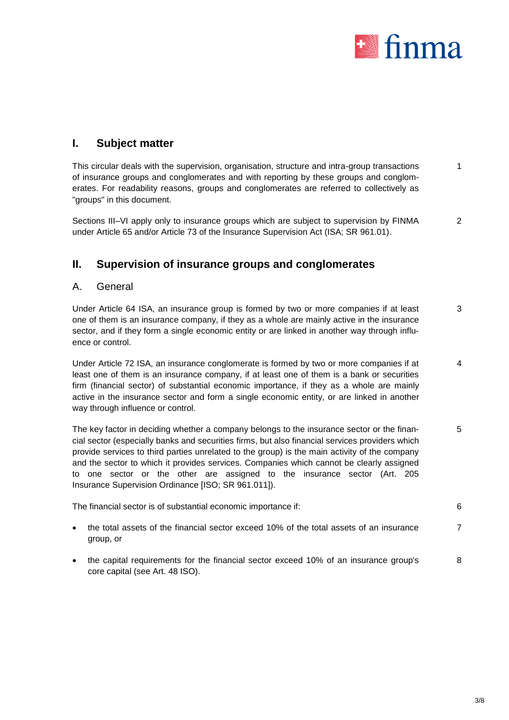

# **I. Subject matter**

This circular deals with the supervision, organisation, structure and intra-group transactions of insurance groups and conglomerates and with reporting by these groups and conglomerates. For readability reasons, groups and conglomerates are referred to collectively as "groups" in this document. 1

Sections III–VI apply only to insurance groups which are subject to supervision by FINMA under Article 65 and/or Article 73 of the Insurance Supervision Act (ISA; SR 961.01). 2

# **II. Supervision of insurance groups and conglomerates**

#### A. General

Under Article 64 ISA, an insurance group is formed by two or more companies if at least one of them is an insurance company, if they as a whole are mainly active in the insurance sector, and if they form a single economic entity or are linked in another way through influence or control. 3

Under Article 72 ISA, an insurance conglomerate is formed by two or more companies if at least one of them is an insurance company, if at least one of them is a bank or securities firm (financial sector) of substantial economic importance, if they as a whole are mainly active in the insurance sector and form a single economic entity, or are linked in another way through influence or control. 4

The key factor in deciding whether a company belongs to the insurance sector or the financial sector (especially banks and securities firms, but also financial services providers which provide services to third parties unrelated to the group) is the main activity of the company and the sector to which it provides services. Companies which cannot be clearly assigned to one sector or the other are assigned to the insurance sector (Art. 205 Insurance Supervision Ordinance [ISO; SR 961.011]). 5

The financial sector is of substantial economic importance if: 6

- 
- the total assets of the financial sector exceed 10% of the total assets of an insurance group, or 7
- the capital requirements for the financial sector exceed 10% of an insurance group's core capital (see Art. 48 ISO). 8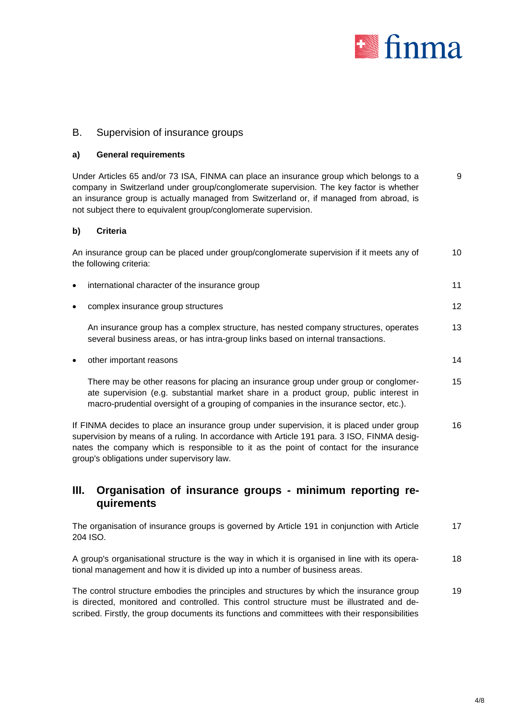

#### B. Supervision of insurance groups

#### **a) General requirements**

Under Articles 65 and/or 73 ISA, FINMA can place an insurance group which belongs to a company in Switzerland under group/conglomerate supervision. The key factor is whether an insurance group is actually managed from Switzerland or, if managed from abroad, is not subject there to equivalent group/conglomerate supervision. 9

#### **b) Criteria**

|           | An insurance group can be placed under group/conglomerate supervision if it meets any of<br>the following criteria:                                                     | 10 |
|-----------|-------------------------------------------------------------------------------------------------------------------------------------------------------------------------|----|
| $\bullet$ | international character of the insurance group                                                                                                                          | 11 |
| $\bullet$ | complex insurance group structures                                                                                                                                      | 12 |
|           | An insurance group has a complex structure, has nested company structures, operates<br>several business areas, or has intra-group links based on internal transactions. | 13 |
| $\bullet$ | other important reasons                                                                                                                                                 | 14 |

There may be other reasons for placing an insurance group under group or conglomerate supervision (e.g. substantial market share in a product group, public interest in macro-prudential oversight of a grouping of companies in the insurance sector, etc.). 15

If FINMA decides to place an insurance group under supervision, it is placed under group supervision by means of a ruling. In accordance with Article 191 para. 3 ISO, FINMA designates the company which is responsible to it as the point of contact for the insurance group's obligations under supervisory law. 16

### **III. Organisation of insurance groups - minimum reporting requirements**

The organisation of insurance groups is governed by Article 191 in conjunction with Article 204 ISO. 17

A group's organisational structure is the way in which it is organised in line with its operational management and how it is divided up into a number of business areas. 18

The control structure embodies the principles and structures by which the insurance group is directed, monitored and controlled. This control structure must be illustrated and described. Firstly, the group documents its functions and committees with their responsibilities 19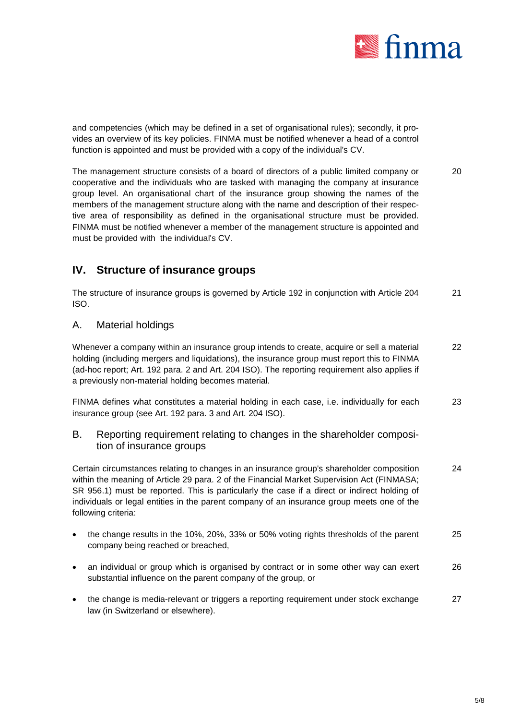

and competencies (which may be defined in a set of organisational rules); secondly, it provides an overview of its key policies. FINMA must be notified whenever a head of a control function is appointed and must be provided with a copy of the individual's CV.

The management structure consists of a board of directors of a public limited company or cooperative and the individuals who are tasked with managing the company at insurance group level. An organisational chart of the insurance group showing the names of the members of the management structure along with the name and description of their respective area of responsibility as defined in the organisational structure must be provided. FINMA must be notified whenever a member of the management structure is appointed and must be provided with the individual's CV. 20

# **IV. Structure of insurance groups**

The structure of insurance groups is governed by Article 192 in conjunction with Article 204 ISO. 21

### A. Material holdings

Whenever a company within an insurance group intends to create, acquire or sell a material holding (including mergers and liquidations), the insurance group must report this to FINMA (ad-hoc report; Art. 192 para. 2 and Art. 204 ISO). The reporting requirement also applies if a previously non-material holding becomes material. 22

FINMA defines what constitutes a material holding in each case, i.e. individually for each insurance group (see Art. 192 para. 3 and Art. 204 ISO). 23

B. Reporting requirement relating to changes in the shareholder composition of insurance groups

Certain circumstances relating to changes in an insurance group's shareholder composition within the meaning of Article 29 para. 2 of the Financial Market Supervision Act (FINMASA; SR 956.1) must be reported. This is particularly the case if a direct or indirect holding of individuals or legal entities in the parent company of an insurance group meets one of the following criteria: 24

- the change results in the 10%, 20%, 33% or 50% voting rights thresholds of the parent company being reached or breached, 25
- an individual or group which is organised by contract or in some other way can exert substantial influence on the parent company of the group, or 26
- the change is media-relevant or triggers a reporting requirement under stock exchange law (in Switzerland or elsewhere). 27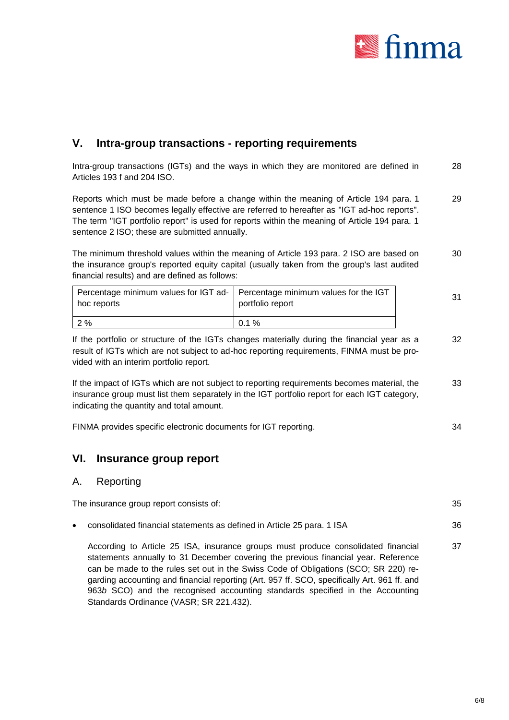

# **V. Intra-group transactions - reporting requirements**

Intra-group transactions (IGTs) and the ways in which they are monitored are defined in Articles 193 f and 204 ISO. 28

Reports which must be made before a change within the meaning of Article 194 para. 1 sentence 1 ISO becomes legally effective are referred to hereafter as "IGT ad-hoc reports". The term "IGT portfolio report" is used for reports within the meaning of Article 194 para. 1 sentence 2 ISO; these are submitted annually. 29

The minimum threshold values within the meaning of Article 193 para. 2 ISO are based on the insurance group's reported equity capital (usually taken from the group's last audited financial results) and are defined as follows: 30

| Percentage minimum values for IGT ad-   Percentage minimum values for the IGT<br>hoc reports | portfolio report | 31 |
|----------------------------------------------------------------------------------------------|------------------|----|
| 2%                                                                                           | $0.1 \%$         |    |

If the portfolio or structure of the IGTs changes materially during the financial year as a result of IGTs which are not subject to ad-hoc reporting requirements, FINMA must be provided with an interim portfolio report. 32

If the impact of IGTs which are not subject to reporting requirements becomes material, the insurance group must list them separately in the IGT portfolio report for each IGT category, indicating the quantity and total amount. 33

FINMA provides specific electronic documents for IGT reporting. 34

### **VI. Insurance group report**

Standards Ordinance (VASR; SR 221.432).

#### A. Reporting

|           | The insurance group report consists of:                                                                                                                                                                                                                                                                                                                                                                                                        | 35 |
|-----------|------------------------------------------------------------------------------------------------------------------------------------------------------------------------------------------------------------------------------------------------------------------------------------------------------------------------------------------------------------------------------------------------------------------------------------------------|----|
| $\bullet$ | consolidated financial statements as defined in Article 25 para. 1 ISA                                                                                                                                                                                                                                                                                                                                                                         | 36 |
|           | According to Article 25 ISA, insurance groups must produce consolidated financial<br>statements annually to 31 December covering the previous financial year. Reference<br>can be made to the rules set out in the Swiss Code of Obligations (SCO; SR 220) re-<br>garding accounting and financial reporting (Art. 957 ff. SCO, specifically Art. 961 ff. and<br>963b SCO) and the recognised accounting standards specified in the Accounting | 37 |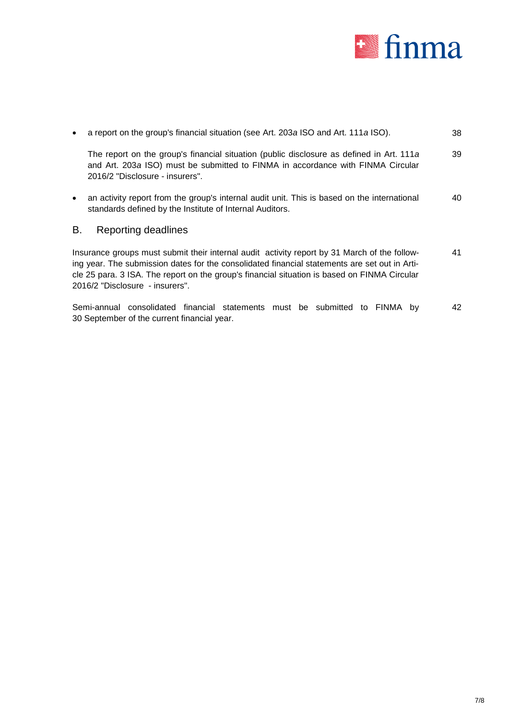

| $\bullet$                                                                                                                                                                                                                                                                                                                        | a report on the group's financial situation (see Art. 203a ISO and Art. 111a ISO).                                                                                                                             | 38 |  |  |  |
|----------------------------------------------------------------------------------------------------------------------------------------------------------------------------------------------------------------------------------------------------------------------------------------------------------------------------------|----------------------------------------------------------------------------------------------------------------------------------------------------------------------------------------------------------------|----|--|--|--|
|                                                                                                                                                                                                                                                                                                                                  | The report on the group's financial situation (public disclosure as defined in Art. 111a<br>and Art. 203a ISO) must be submitted to FINMA in accordance with FINMA Circular<br>2016/2 "Disclosure - insurers". | 39 |  |  |  |
| $\bullet$                                                                                                                                                                                                                                                                                                                        | an activity report from the group's internal audit unit. This is based on the international<br>standards defined by the Institute of Internal Auditors.                                                        | 40 |  |  |  |
| В.                                                                                                                                                                                                                                                                                                                               | Reporting deadlines                                                                                                                                                                                            |    |  |  |  |
| Insurance groups must submit their internal audit activity report by 31 March of the follow-<br>ing year. The submission dates for the consolidated financial statements are set out in Arti-<br>cle 25 para. 3 ISA. The report on the group's financial situation is based on FINMA Circular<br>2016/2 "Disclosure - insurers". |                                                                                                                                                                                                                |    |  |  |  |
|                                                                                                                                                                                                                                                                                                                                  | Semi-annual consolidated financial statements must be submitted to FINMA by<br>30 September of the current financial year.                                                                                     | 42 |  |  |  |